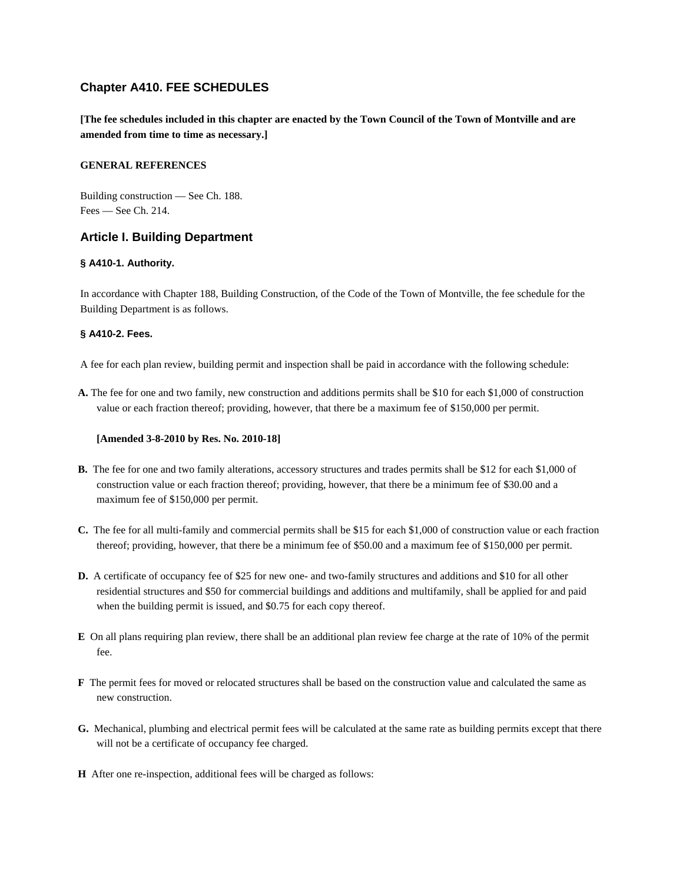# **Chapter A410. FEE SCHEDULES**

**[The fee schedules included in this chapter are enacted by the Town Council of the Town of Montville and are amended from time to time as necessary.]**

#### **GENERAL REFERENCES**

Building construction — See Ch. 188. Fees — See Ch. 214.

# **Article I. Building Department**

# **§ A410-1. Authority.**

In accordance with Chapter 188, Building Construction, of the Code of the Town of Montville, the fee schedule for the Building Department is as follows.

# **§ A410-2. Fees.**

- A fee for each plan review, building permit and inspection shall be paid in accordance with the following schedule:
- **A.** The fee for one and two family, new construction and additions permits shall be \$10 for each \$1,000 of construction value or each fraction thereof; providing, however, that there be a maximum fee of \$150,000 per permit.

# **[Amended 3-8-2010 by Res. No. 2010-18]**

- **B.** The fee for one and two family alterations, accessory structures and trades permits shall be \$12 for each \$1,000 of construction value or each fraction thereof; providing, however, that there be a minimum fee of \$30.00 and a maximum fee of \$150,000 per permit.
- **C.** The fee for all multi-family and commercial permits shall be \$15 for each \$1,000 of construction value or each fraction thereof; providing, however, that there be a minimum fee of \$50.00 and a maximum fee of \$150,000 per permit.
- **D.** A certificate of occupancy fee of \$25 for new one- and two-family structures and additions and \$10 for all other residential structures and \$50 for commercial buildings and additions and multifamily, shall be applied for and paid when the building permit is issued, and \$0.75 for each copy thereof.
- **E** On all plans requiring plan review, there shall be an additional plan review fee charge at the rate of 10% of the permit fee.
- **F** The permit fees for moved or relocated structures shall be based on the construction value and calculated the same as new construction.
- **G.** Mechanical, plumbing and electrical permit fees will be calculated at the same rate as building permits except that there will not be a certificate of occupancy fee charged.
- **H** After one re-inspection, additional fees will be charged as follows: